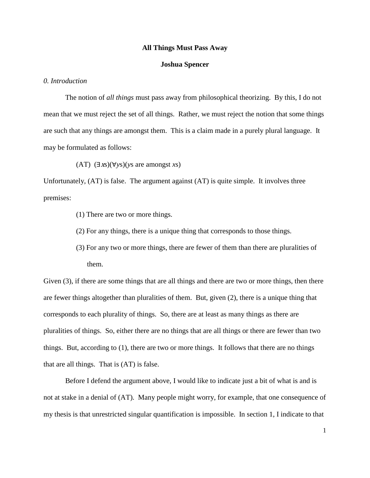### **All Things Must Pass Away**

### **Joshua Spencer**

# *0. Introduction*

The notion of *all things* must pass away from philosophical theorizing. By this, I do not mean that we must reject the set of all things. Rather, we must reject the notion that some things are such that any things are amongst them. This is a claim made in a purely plural language. It may be formulated as follows:

(AT) (∃xs)(∀*y*s)(*y*s are amongst *x*s)

Unfortunately, (AT) is false. The argument against (AT) is quite simple. It involves three premises:

- (1) There are two or more things.
- (2) For any things, there is a unique thing that corresponds to those things.
- (3) For any two or more things, there are fewer of them than there are pluralities of them.

Given  $(3)$ , if there are some things that are all things and there are two or more things, then there are fewer things altogether than pluralities of them. But, given (2), there is a unique thing that corresponds to each plurality of things. So, there are at least as many things as there are pluralities of things. So, either there are no things that are all things or there are fewer than two things. But, according to (1), there are two or more things. It follows that there are no things that are all things. That is (AT) is false.

Before I defend the argument above, I would like to indicate just a bit of what is and is not at stake in a denial of (AT). Many people might worry, for example, that one consequence of my thesis is that unrestricted singular quantification is impossible. In section 1, I indicate to that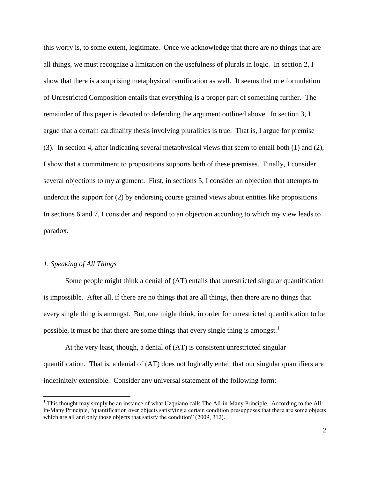this worry is, to some extent, legitimate. Once we acknowledge that there are no things that are all things, we must recognize a limitation on the usefulness of plurals in logic. In section 2, I show that there is a surprising metaphysical ramification as well. It seems that one formulation of Unrestricted Composition entails that everything is a proper part of something further. The remainder of this paper is devoted to defending the argument outlined above. In section 3, I argue that a certain cardinality thesis involving pluralities is true. That is, I argue for premise (3). In section 4, after indicating several metaphysical views that seem to entail both (1) and (2), I show that a commitment to propositions supports both of these premises. Finally, I consider several objections to my argument. First, in sections 5, I consider an objection that attempts to undercut the support for (2) by endorsing course grained views about entities like propositions. In sections 6 and 7, I consider and respond to an objection according to which my view leads to paradox.

## *1. Speaking of All Things*

 $\overline{a}$ 

Some people might think a denial of (AT) entails that unrestricted singular quantification is impossible. After all, if there are no things that are all things, then there are no things that every single thing is amongst. But, one might think, in order for unrestricted quantification to be possible, it must be that there are some things that every single thing is amongst.<sup>1</sup>

At the very least, though, a denial of (AT) is consistent unrestricted singular quantification. That is, a denial of (AT) does not logically entail that our singular quantifiers are indefinitely extensible. Consider any universal statement of the following form:

 $1$  This thought may simply be an instance of what Uzquiano calls The All-in-Many Principle. According to the Allin-Many Principle, "quantification over objects satisfying a certain condition presupposes that there are some objects which are all and only those objects that satisfy the condition" (2009, 312).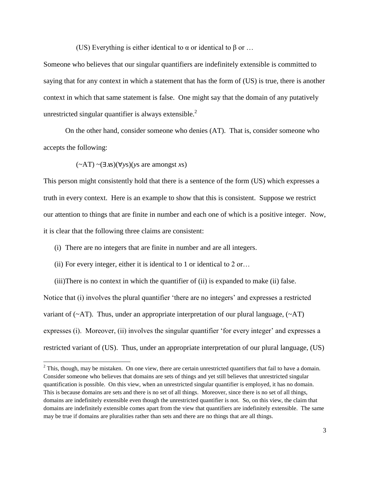(US) Everything is either identical to  $\alpha$  or identical to  $\beta$  or ...

Someone who believes that our singular quantifiers are indefinitely extensible is committed to saying that for any context in which a statement that has the form of (US) is true, there is another context in which that same statement is false. One might say that the domain of any putatively unrestricted singular quantifier is always extensible. $^{2}$ 

On the other hand, consider someone who denies (AT). That is, consider someone who accepts the following:

(~AT) ~(∃xs)(∀*y*s)(*y*s are amongst *x*s)

l

This person might consistently hold that there is a sentence of the form (US) which expresses a truth in every context. Here is an example to show that this is consistent. Suppose we restrict our attention to things that are finite in number and each one of which is a positive integer. Now, it is clear that the following three claims are consistent:

(i) There are no integers that are finite in number and are all integers.

(ii) For every integer, either it is identical to 1 or identical to 2 or…

(iii)There is no context in which the quantifier of (ii) is expanded to make (ii) false. Notice that (i) involves the plural quantifier 'there are no integers' and expresses a restricted variant of  $(\sim A T)$ . Thus, under an appropriate interpretation of our plural language,  $(\sim A T)$ expresses (i). Moreover, (ii) involves the singular quantifier 'for every integer' and expresses a restricted variant of (US). Thus, under an appropriate interpretation of our plural language, (US)

 $2$  This, though, may be mistaken. On one view, there are certain unrestricted quantifiers that fail to have a domain. Consider someone who believes that domains are sets of things and yet still believes that unrestricted singular quantification is possible. On this view, when an unrestricted singular quantifier is employed, it has no domain. This is because domains are sets and there is no set of all things. Moreover, since there is no set of all things, domains are indefinitely extensible even though the unrestricted quantifier is not. So, on this view, the claim that domains are indefinitely extensible comes apart from the view that quantifiers are indefinitely extensible. The same may be true if domains are pluralities rather than sets and there are no things that are all things.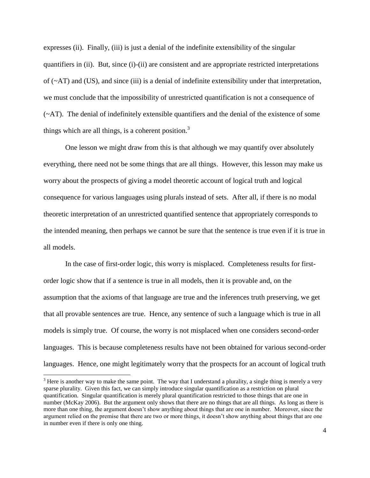expresses (ii). Finally, (iii) is just a denial of the indefinite extensibility of the singular quantifiers in (ii). But, since (i)-(ii) are consistent and are appropriate restricted interpretations of  $(\sim A T)$  and (US), and since (iii) is a denial of indefinite extensibility under that interpretation, we must conclude that the impossibility of unrestricted quantification is not a consequence of (~AT). The denial of indefinitely extensible quantifiers and the denial of the existence of some things which are all things, is a coherent position.<sup>3</sup>

One lesson we might draw from this is that although we may quantify over absolutely everything, there need not be some things that are all things. However, this lesson may make us worry about the prospects of giving a model theoretic account of logical truth and logical consequence for various languages using plurals instead of sets. After all, if there is no modal theoretic interpretation of an unrestricted quantified sentence that appropriately corresponds to the intended meaning, then perhaps we cannot be sure that the sentence is true even if it is true in all models.

In the case of first-order logic, this worry is misplaced. Completeness results for firstorder logic show that if a sentence is true in all models, then it is provable and, on the assumption that the axioms of that language are true and the inferences truth preserving, we get that all provable sentences are true. Hence, any sentence of such a language which is true in all models is simply true. Of course, the worry is not misplaced when one considers second-order languages. This is because completeness results have not been obtained for various second-order languages. Hence, one might legitimately worry that the prospects for an account of logical truth

 $3$  Here is another way to make the same point. The way that I understand a plurality, a single thing is merely a very sparse plurality. Given this fact, we can simply introduce singular quantification as a restriction on plural quantification. Singular quantification is merely plural quantification restricted to those things that are one in number (McKay 2006). But the argument only shows that there are no things that are all things. As long as there is more than one thing, the argument doesn't show anything about things that are one in number. Moreover, since the argument relied on the premise that there are two or more things, it doesn't show anything about things that are one in number even if there is only one thing.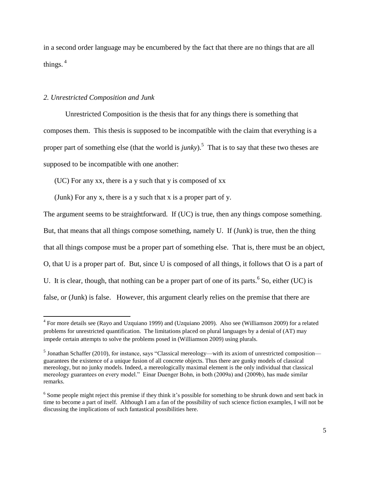in a second order language may be encumbered by the fact that there are no things that are all things.  $4$ 

### *2. Unrestricted Composition and Junk*

l

Unrestricted Composition is the thesis that for any things there is something that composes them. This thesis is supposed to be incompatible with the claim that everything is a proper part of something else (that the world is *junky*).<sup>5</sup> That is to say that these two theses are supposed to be incompatible with one another:

(UC) For any xx, there is a y such that y is composed of xx

(Junk) For any x, there is a y such that x is a proper part of y.

The argument seems to be straightforward. If (UC) is true, then any things compose something. But, that means that all things compose something, namely U. If (Junk) is true, then the thing that all things compose must be a proper part of something else. That is, there must be an object, O, that U is a proper part of. But, since U is composed of all things, it follows that O is a part of U. It is clear, though, that nothing can be a proper part of one of its parts.  $6$  So, either (UC) is false, or (Junk) is false. However, this argument clearly relies on the premise that there are

<sup>&</sup>lt;sup>4</sup> For more details see (Rayo and Uzquiano 1999) and (Uzquiano 2009). Also see (Williamson 2009) for a related problems for unrestricted quantification. The limitations placed on plural languages by a denial of (AT) may impede certain attempts to solve the problems posed in (Williamson 2009) using plurals.

 $<sup>5</sup>$  Jonathan Schaffer (2010), for instance, says "Classical mereology—with its axiom of unrestricted composition—</sup> guarantees the existence of a unique fusion of all concrete objects. Thus there are gunky models of classical mereology, but no junky models. Indeed, a mereologically maximal element is the only individual that classical mereology guarantees on every model." Einar Duenger Bohn, in both (2009a) and (2009b), has made similar remarks.

<sup>&</sup>lt;sup>6</sup> Some people might reject this premise if they think it's possible for something to be shrunk down and sent back in time to become a part of itself. Although I am a fan of the possibility of such science fiction examples, I will not be discussing the implications of such fantastical possibilities here.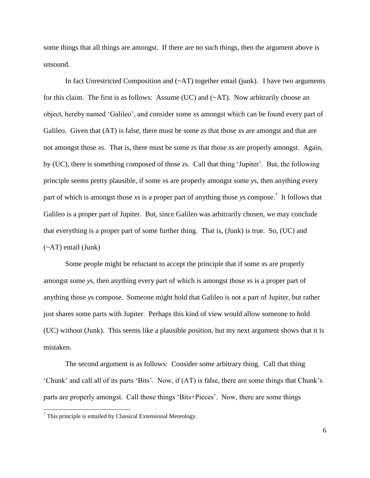some things that all things are amongst. If there are no such things, then the argument above is unsound.

In fact Unrestricted Composition and  $(\sim A T)$  together entail (junk). I have two arguments for this claim. The first is as follows: Assume (UC) and (~AT). Now arbitrarily choose an object, hereby named 'Galileo', and consider some *x*s amongst which can be found every part of Galileo. Given that (AT) is false, there must be some *z*s that those *x*s are amongst and that are not amongst those *x*s. That is, there must be some *z*s that those *x*s are properly amongst. Again, by (UC), there is something composed of those *z*s. Call that thing 'Jupiter'. But, the following principle seems pretty plausible, if some *x*s are properly amongst some *y*s, then anything every part of which is amongst those *x*s is a proper part of anything those *y*s compose. 7 It follows that Galileo is a proper part of Jupiter. But, since Galileo was arbitrarily chosen, we may conclude that everything is a proper part of some further thing. That is, (Junk) is true. So, (UC) and (~AT) entail (Junk)

Some people might be reluctant to accept the principle that if some *x*s are properly amongst some *y*s, then anything every part of which is amongst those *x*s is a proper part of anything those *y*s compose. Someone might hold that Galileo is not a part of Jupiter, but rather just shares some parts with Jupiter. Perhaps this kind of view would allow someone to hold (UC) without (Junk). This seems like a plausible position, but my next argument shows that it is mistaken.

The second argument is as follows: Consider some arbitrary thing. Call that thing 'Chunk' and call all of its parts 'Bits'. Now, if (AT) is false, there are some things that Chunk's parts are properly amongst. Call those things 'Bits+Pieces'. Now, there are some things

 $\overline{a}$ 

<sup>7</sup> This principle is entailed by Classical Extensional Mereology.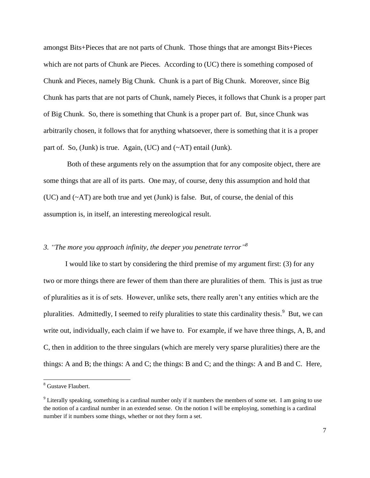amongst Bits+Pieces that are not parts of Chunk. Those things that are amongst Bits+Pieces which are not parts of Chunk are Pieces. According to (UC) there is something composed of Chunk and Pieces, namely Big Chunk. Chunk is a part of Big Chunk. Moreover, since Big Chunk has parts that are not parts of Chunk, namely Pieces, it follows that Chunk is a proper part of Big Chunk. So, there is something that Chunk is a proper part of. But, since Chunk was arbitrarily chosen, it follows that for anything whatsoever, there is something that it is a proper part of. So, (Junk) is true. Again, (UC) and (~AT) entail (Junk).

Both of these arguments rely on the assumption that for any composite object, there are some things that are all of its parts. One may, of course, deny this assumption and hold that (UC) and (~AT) are both true and yet (Junk) is false. But, of course, the denial of this assumption is, in itself, an interesting mereological result.

# *3. "The more you approach infinity, the deeper you penetrate terror" 8*

I would like to start by considering the third premise of my argument first: (3) for any two or more things there are fewer of them than there are pluralities of them. This is just as true of pluralities as it is of sets. However, unlike sets, there really aren't any entities which are the pluralities. Admittedly, I seemed to reify pluralities to state this cardinality thesis.<sup>9</sup> But, we can write out, individually, each claim if we have to. For example, if we have three things, A, B, and C, then in addition to the three singulars (which are merely very sparse pluralities) there are the things: A and B; the things: A and C; the things: B and C; and the things: A and B and C. Here,

<sup>&</sup>lt;sup>8</sup> Gustave Flaubert.

<sup>&</sup>lt;sup>9</sup> Literally speaking, something is a cardinal number only if it numbers the members of some set. I am going to use the notion of a cardinal number in an extended sense. On the notion I will be employing, something is a cardinal number if it numbers some things, whether or not they form a set.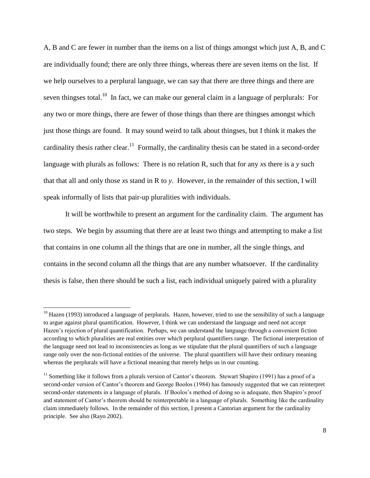A, B and C are fewer in number than the items on a list of things amongst which just A, B, and C are individually found; there are only three things, whereas there are seven items on the list. If we help ourselves to a perplural language, we can say that there are three things and there are seven thingses total.<sup>10</sup> In fact, we can make our general claim in a language of perplurals: For any two or more things, there are fewer of those things than there are thingses amongst which just those things are found. It may sound weird to talk about thingses, but I think it makes the cardinality thesis rather clear.<sup>11</sup> Formally, the cardinality thesis can be stated in a second-order language with plurals as follows: There is no relation R, such that for any *x*s there is a *y* such that that all and only those *x*s stand in R to *y*. However, in the remainder of this section, I will speak informally of lists that pair-up pluralities with individuals.

It will be worthwhile to present an argument for the cardinality claim. The argument has two steps. We begin by assuming that there are at least two things and attempting to make a list that contains in one column all the things that are one in number, all the single things, and contains in the second column all the things that are any number whatsoever. If the cardinality thesis is false, then there should be such a list, each individual uniquely paired with a plurality

 $10$  Hazen (1993) introduced a language of perplurals. Hazen, however, tried to use the sensibility of such a language to argue against plural quantification. However, I think we can understand the language and need not accept Hazen's rejection of plural quantification. Perhaps, we can understand the language through a convenient fiction according to which pluralities are real entities over which perplural quantifiers range. The fictional interpretation of the language need not lead to inconsistencies as long as we stipulate that the plural quantifiers of such a language range only over the non-fictional entities of the universe. The plural quantifiers will have their ordinary meaning whereas the perplurals will have a fictional meaning that merely helps us in our counting.

<sup>&</sup>lt;sup>11</sup> Something like it follows from a plurals version of Cantor's theorem. Stewart Shapiro (1991) has a proof of a second-order version of Cantor's theorem and George Boolos (1984) has famously suggested that we can reinterpret second-order statements in a language of plurals. If Boolos's method of doing so is adequate, then Shapiro's proof and statement of Cantor's theorem should be reinterpretable in a language of plurals. Something like the cardinality claim immediately follows. In the remainder of this section, I present a Cantorian argument for the cardinality principle. See also (Rayo 2002).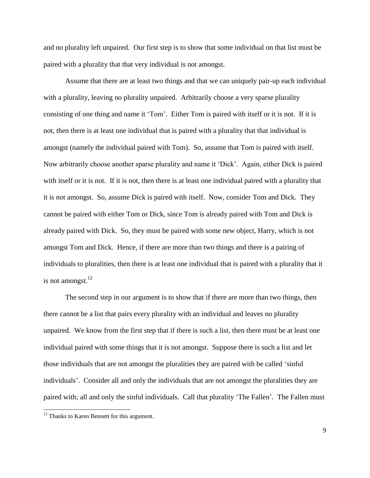and no plurality left unpaired. Our first step is to show that some individual on that list must be paired with a plurality that that very individual is not amongst.

Assume that there are at least two things and that we can uniquely pair-up each individual with a plurality, leaving no plurality unpaired. Arbitrarily choose a very sparse plurality consisting of one thing and name it 'Tom'. Either Tom is paired with itself or it is not. If it is not, then there is at least one individual that is paired with a plurality that that individual is amongst (namely the individual paired with Tom). So, assume that Tom is paired with itself. Now arbitrarily choose another sparse plurality and name it 'Dick'. Again, either Dick is paired with itself or it is not. If it is not, then there is at least one individual paired with a plurality that it is not amongst. So, assume Dick is paired with itself. Now, consider Tom and Dick. They cannot be paired with either Tom or Dick, since Tom is already paired with Tom and Dick is already paired with Dick. So, they must be paired with some new object, Harry, which is not amongst Tom and Dick. Hence, if there are more than two things and there is a pairing of individuals to pluralities, then there is at least one individual that is paired with a plurality that it is not amongst. $12$ 

The second step in our argument is to show that if there are more than two things, then there cannot be a list that pairs every plurality with an individual and leaves no plurality unpaired. We know from the first step that if there is such a list, then there must be at least one individual paired with some things that it is not amongst. Suppose there is such a list and let those individuals that are not amongst the pluralities they are paired with be called 'sinful individuals'. Consider all and only the individuals that are not amongst the pluralities they are paired with; all and only the sinful individuals. Call that plurality 'The Fallen'. The Fallen must

 $\overline{a}$ 

<sup>&</sup>lt;sup>12</sup> Thanks to Karen Bennett for this argument.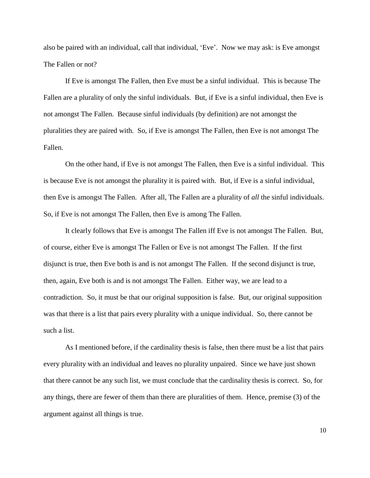also be paired with an individual, call that individual, 'Eve'. Now we may ask: is Eve amongst The Fallen or not?

If Eve is amongst The Fallen, then Eve must be a sinful individual. This is because The Fallen are a plurality of only the sinful individuals. But, if Eve is a sinful individual, then Eve is not amongst The Fallen. Because sinful individuals (by definition) are not amongst the pluralities they are paired with. So, if Eve is amongst The Fallen, then Eve is not amongst The Fallen.

On the other hand, if Eve is not amongst The Fallen, then Eve is a sinful individual. This is because Eve is not amongst the plurality it is paired with. But, if Eve is a sinful individual, then Eve is amongst The Fallen. After all, The Fallen are a plurality of *all* the sinful individuals. So, if Eve is not amongst The Fallen, then Eve is among The Fallen.

It clearly follows that Eve is amongst The Fallen iff Eve is not amongst The Fallen. But, of course, either Eve is amongst The Fallen or Eve is not amongst The Fallen. If the first disjunct is true, then Eve both is and is not amongst The Fallen. If the second disjunct is true, then, again, Eve both is and is not amongst The Fallen. Either way, we are lead to a contradiction. So, it must be that our original supposition is false. But, our original supposition was that there is a list that pairs every plurality with a unique individual. So, there cannot be such a list.

As I mentioned before, if the cardinality thesis is false, then there must be a list that pairs every plurality with an individual and leaves no plurality unpaired. Since we have just shown that there cannot be any such list, we must conclude that the cardinality thesis is correct. So, for any things, there are fewer of them than there are pluralities of them. Hence, premise (3) of the argument against all things is true.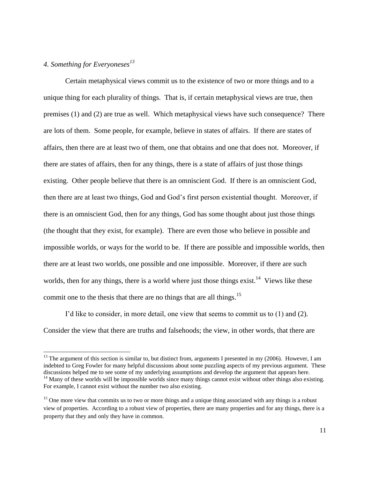# *4. Something for Everyoneses<sup>13</sup>*

l

Certain metaphysical views commit us to the existence of two or more things and to a unique thing for each plurality of things. That is, if certain metaphysical views are true, then premises (1) and (2) are true as well. Which metaphysical views have such consequence? There are lots of them. Some people, for example, believe in states of affairs. If there are states of affairs, then there are at least two of them, one that obtains and one that does not. Moreover, if there are states of affairs, then for any things, there is a state of affairs of just those things existing. Other people believe that there is an omniscient God. If there is an omniscient God, then there are at least two things, God and God's first person existential thought. Moreover, if there is an omniscient God, then for any things, God has some thought about just those things (the thought that they exist, for example). There are even those who believe in possible and impossible worlds, or ways for the world to be. If there are possible and impossible worlds, then there are at least two worlds, one possible and one impossible. Moreover, if there are such worlds, then for any things, there is a world where just those things exist.<sup>14</sup> Views like these commit one to the thesis that there are no things that are all things.<sup>15</sup>

I'd like to consider, in more detail, one view that seems to commit us to (1) and (2). Consider the view that there are truths and falsehoods; the view, in other words, that there are

 $13$  The argument of this section is similar to, but distinct from, arguments I presented in my (2006). However, I am indebted to Greg Fowler for many helpful discussions about some puzzling aspects of my previous argument. These discussions helped me to see some of my underlying assumptions and develop the argument that appears here. <sup>14</sup> Many of these worlds will be impossible worlds since many things cannot exist without other things also existing. For example, I cannot exist without the number two also existing.

<sup>&</sup>lt;sup>15</sup> One more view that commits us to two or more things and a unique thing associated with any things is a robust view of properties. According to a robust view of properties, there are many properties and for any things, there is a property that they and only they have in common.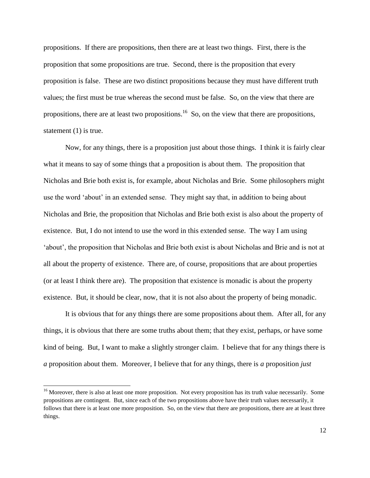propositions. If there are propositions, then there are at least two things. First, there is the proposition that some propositions are true. Second, there is the proposition that every proposition is false. These are two distinct propositions because they must have different truth values; the first must be true whereas the second must be false. So, on the view that there are propositions, there are at least two propositions.<sup>16</sup> So, on the view that there are propositions, statement (1) is true.

Now, for any things, there is a proposition just about those things. I think it is fairly clear what it means to say of some things that a proposition is about them. The proposition that Nicholas and Brie both exist is, for example, about Nicholas and Brie. Some philosophers might use the word 'about' in an extended sense. They might say that, in addition to being about Nicholas and Brie, the proposition that Nicholas and Brie both exist is also about the property of existence. But, I do not intend to use the word in this extended sense. The way I am using 'about', the proposition that Nicholas and Brie both exist is about Nicholas and Brie and is not at all about the property of existence. There are, of course, propositions that are about properties (or at least I think there are). The proposition that existence is monadic is about the property existence. But, it should be clear, now, that it is not also about the property of being monadic.

It is obvious that for any things there are some propositions about them. After all, for any things, it is obvious that there are some truths about them; that they exist, perhaps, or have some kind of being. But, I want to make a slightly stronger claim. I believe that for any things there is *a* proposition about them. Moreover, I believe that for any things, there is *a* proposition *just*

 $\overline{a}$ 

<sup>&</sup>lt;sup>16</sup> Moreover, there is also at least one more proposition. Not every proposition has its truth value necessarily. Some propositions are contingent. But, since each of the two propositions above have their truth values necessarily, it follows that there is at least one more proposition. So, on the view that there are propositions, there are at least three things.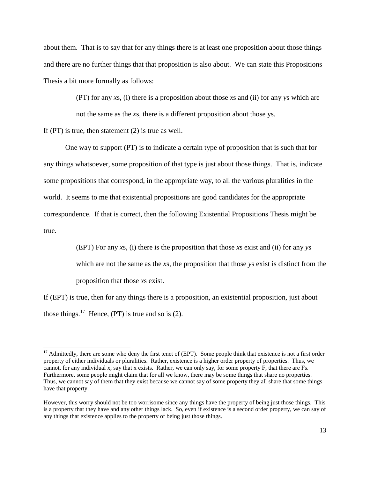about them. That is to say that for any things there is at least one proposition about those things and there are no further things that that proposition is also about. We can state this Propositions Thesis a bit more formally as follows:

> (PT) for any *x*s, (i) there is a proposition about those *x*s and (ii) for any *y*s which are not the same as the *x*s, there is a different proposition about those ys.

If (PT) is true, then statement (2) is true as well.

 $\overline{a}$ 

One way to support (PT) is to indicate a certain type of proposition that is such that for any things whatsoever, some proposition of that type is just about those things. That is, indicate some propositions that correspond, in the appropriate way, to all the various pluralities in the world. It seems to me that existential propositions are good candidates for the appropriate correspondence. If that is correct, then the following Existential Propositions Thesis might be true.

> (EPT) For any *x*s, (i) there is the proposition that those *x*s exist and (ii) for any *y*s which are not the same as the *x*s, the proposition that those *y*s exist is distinct from the proposition that those *x*s exist.

If (EPT) is true, then for any things there is a proposition, an existential proposition, just about those things.<sup>17</sup> Hence, (PT) is true and so is (2).

 $17$  Admittedly, there are some who deny the first tenet of (EPT). Some people think that existence is not a first order property of either individuals or pluralities. Rather, existence is a higher order property of properties. Thus, we cannot, for any individual x, say that x exists. Rather, we can only say, for some property F, that there are Fs. Furthermore, some people might claim that for all we know, there may be some things that share no properties. Thus, we cannot say of them that they exist because we cannot say of some property they all share that some things have that property.

However, this worry should not be too worrisome since any things have the property of being just those things. This is a property that they have and any other things lack. So, even if existence is a second order property, we can say of any things that existence applies to the property of being just those things.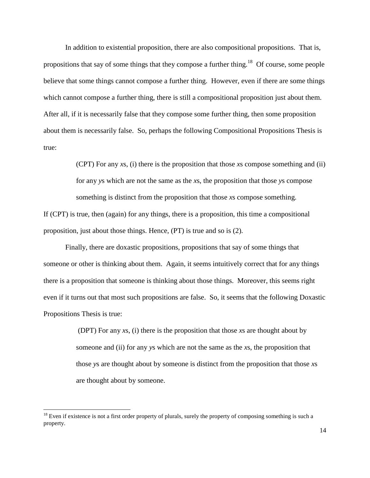In addition to existential proposition, there are also compositional propositions. That is, propositions that say of some things that they compose a further thing.<sup>18</sup> Of course, some people believe that some things cannot compose a further thing. However, even if there are some things which cannot compose a further thing, there is still a compositional proposition just about them. After all, if it is necessarily false that they compose some further thing, then some proposition about them is necessarily false. So, perhaps the following Compositional Propositions Thesis is true:

> (CPT) For any *x*s, (i) there is the proposition that those *x*s compose something and (ii) for any *y*s which are not the same as the *x*s, the proposition that those *y*s compose something is distinct from the proposition that those *x*s compose something.

If (CPT) is true, then (again) for any things, there is a proposition, this time a compositional proposition, just about those things. Hence, (PT) is true and so is (2).

Finally, there are doxastic propositions, propositions that say of some things that someone or other is thinking about them. Again, it seems intuitively correct that for any things there is a proposition that someone is thinking about those things. Moreover, this seems right even if it turns out that most such propositions are false. So, it seems that the following Doxastic Propositions Thesis is true:

> (DPT) For any *x*s, (i) there is the proposition that those *x*s are thought about by someone and (ii) for any *y*s which are not the same as the *x*s, the proposition that those *y*s are thought about by someone is distinct from the proposition that those *x*s are thought about by someone.

 $18$  Even if existence is not a first order property of plurals, surely the property of composing something is such a property.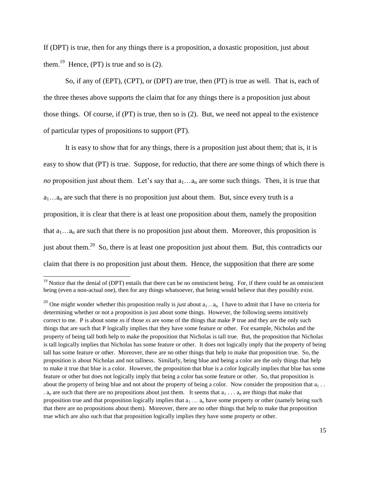If (DPT) is true, then for any things there is a proposition, a doxastic proposition, just about them.<sup>19</sup> Hence, (PT) is true and so is  $(2)$ .

So, if any of (EPT), (CPT), or (DPT) are true, then (PT) is true as well. That is, each of the three theses above supports the claim that for any things there is a proposition just about those things. Of course, if (PT) is true, then so is (2). But, we need not appeal to the existence of particular types of propositions to support (PT).

It is easy to show that for any things, there is a proposition just about them; that is, it is easy to show that (PT) is true. Suppose, for reductio, that there are some things of which there is *no* proposition just about them. Let's say that  $a_1...a_n$  are some such things. Then, it is true that  $a_1...a_n$  are such that there is no proposition just about them. But, since every truth is a proposition, it is clear that there is at least one proposition about them, namely the proposition that  $a_1...a_n$  are such that there is no proposition just about them. Moreover, this proposition is just about them.<sup>20</sup> So, there is at least one proposition just about them. But, this contradicts our claim that there is no proposition just about them. Hence, the supposition that there are some

 $19$  Notice that the denial of (DPT) entails that there can be no omniscient being. For, if there could be an omniscient being (even a non-actual one), then for any things whatsoever, that being would believe that they possibly exist.

<sup>&</sup>lt;sup>20</sup> One might wonder whether this proposition really is *just* about  $a_1...a_n$ . I have to admit that I have no criteria for determining whether or not a proposition is just about some things. However, the following seems intuitively correct to me. P is about some *x*s if those *x*s are some of the things that make P true and they are the only such things that are such that P logically implies that they have some feature or other. For example, Nicholas and the property of being tall both help to make the proposition that Nicholas is tall true. But, the proposition that Nicholas is tall logically implies that Nicholas has some feature or other. It does not logically imply that the property of being tall has some feature or other. Moreover, there are no other things that help to make that proposition true. So, the proposition is about Nicholas and not tallness. Similarly, being blue and being a color are the only things that help to make it true that blue is a color. However, the proposition that blue is a color logically implies that blue has some feature or other but does not logically imply that being a color has some feature or other. So, that proposition is about the property of being blue and not about the property of being a color. Now consider the proposition that  $a_1$ . .  $a_n$  are such that there are no propositions about just them. It seems that  $a_1 \ldots a_n$  are things that make that proposition true and that proposition logically implies that  $a_1 \ldots a_n$  have some property or other (namely being such that there are no propositions about them). Moreover, there are no other things that help to make that proposition true which are also such that that proposition logically implies they have some property or other.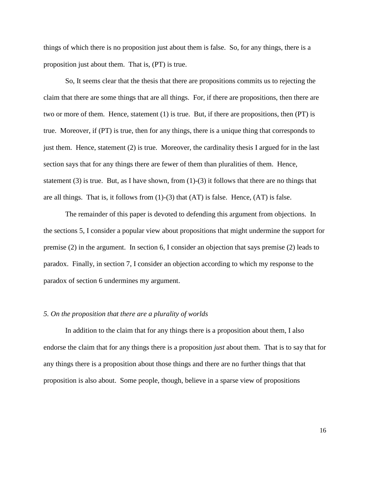things of which there is no proposition just about them is false. So, for any things, there is a proposition just about them. That is, (PT) is true.

So, It seems clear that the thesis that there are propositions commits us to rejecting the claim that there are some things that are all things. For, if there are propositions, then there are two or more of them. Hence, statement (1) is true. But, if there are propositions, then (PT) is true. Moreover, if (PT) is true, then for any things, there is a unique thing that corresponds to just them. Hence, statement (2) is true. Moreover, the cardinality thesis I argued for in the last section says that for any things there are fewer of them than pluralities of them. Hence, statement  $(3)$  is true. But, as I have shown, from  $(1)-(3)$  it follows that there are no things that are all things. That is, it follows from (1)-(3) that (AT) is false. Hence, (AT) is false.

The remainder of this paper is devoted to defending this argument from objections. In the sections 5, I consider a popular view about propositions that might undermine the support for premise (2) in the argument. In section 6, I consider an objection that says premise (2) leads to paradox. Finally, in section 7, I consider an objection according to which my response to the paradox of section 6 undermines my argument.

### *5. On the proposition that there are a plurality of worlds*

In addition to the claim that for any things there is a proposition about them, I also endorse the claim that for any things there is a proposition *just* about them. That is to say that for any things there is a proposition about those things and there are no further things that that proposition is also about. Some people, though, believe in a sparse view of propositions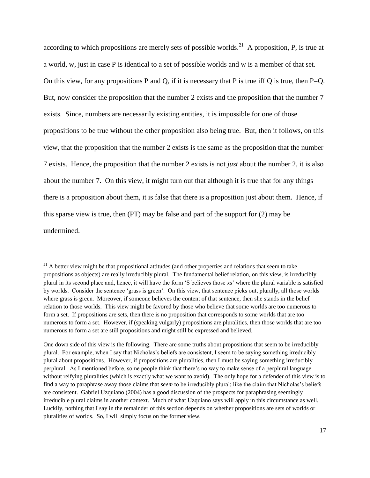according to which propositions are merely sets of possible worlds.<sup>21</sup> A proposition, P, is true at a world, w, just in case P is identical to a set of possible worlds and w is a member of that set. On this view, for any propositions P and Q, if it is necessary that P is true iff Q is true, then  $P=Q$ . But, now consider the proposition that the number 2 exists and the proposition that the number 7 exists. Since, numbers are necessarily existing entities, it is impossible for one of those propositions to be true without the other proposition also being true. But, then it follows, on this view, that the proposition that the number 2 exists is the same as the proposition that the number 7 exists. Hence, the proposition that the number 2 exists is not *just* about the number 2, it is also about the number 7. On this view, it might turn out that although it is true that for any things there is a proposition about them, it is false that there is a proposition just about them. Hence, if this sparse view is true, then (PT) may be false and part of the support for (2) may be undermined.

 $\overline{a}$ 

 $21$  A better view might be that propositional attitudes (and other properties and relations that seem to take propositions as objects) are really irreducibly plural. The fundamental belief relation, on this view, is irreducibly plural in its second place and, hence, it will have the form 'S believes those *x*s' where the plural variable is satisfied by worlds. Consider the sentence 'grass is green'. On this view, that sentence picks out, plurally, all those worlds where grass is green. Moreover, if someone believes the content of that sentence, then she stands in the belief relation to those worlds. This view might be favored by those who believe that some worlds are too numerous to form a set. If propositions are sets, then there is no proposition that corresponds to some worlds that are too numerous to form a set. However, if (speaking vulgarly) propositions are pluralities, then those worlds that are too numerous to form a set are still propositions and might still be expressed and believed.

One down side of this view is the following. There are some truths about propositions that seem to be irreducibly plural. For example, when I say that Nicholas's beliefs are consistent, I seem to be saying something irreducibly plural about propositions. However, if propositions are pluralities, then I must be saying something irreducibly perplural. As I mentioned before, some people think that there's no way to make sense of a perplural language without reifying pluralities (which is exactly what we want to avoid). The only hope for a defender of this view is to find a way to paraphrase away those claims that *seem* to be irreducibly plural; like the claim that Nicholas's beliefs are consistent. Gabriel Uzquiano (2004) has a good discussion of the prospects for paraphrasing seemingly irreducible plural claims in another context. Much of what Uzquiano says will apply in this circumstance as well. Luckily, nothing that I say in the remainder of this section depends on whether propositions are sets of worlds or pluralities of worlds. So, I will simply focus on the former view.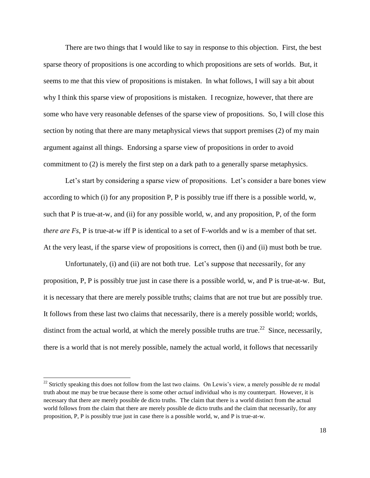There are two things that I would like to say in response to this objection. First, the best sparse theory of propositions is one according to which propositions are sets of worlds. But, it seems to me that this view of propositions is mistaken. In what follows, I will say a bit about why I think this sparse view of propositions is mistaken. I recognize, however, that there are some who have very reasonable defenses of the sparse view of propositions. So, I will close this section by noting that there are many metaphysical views that support premises (2) of my main argument against all things. Endorsing a sparse view of propositions in order to avoid commitment to (2) is merely the first step on a dark path to a generally sparse metaphysics.

Let's start by considering a sparse view of propositions. Let's consider a bare bones view according to which (i) for any proposition P, P is possibly true iff there is a possible world, w, such that P is true-at-w, and (ii) for any possible world, w, and any proposition, P, of the form *there are Fs*, **P** is true-at-w iff **P** is identical to a set of F-worlds and w is a member of that set. At the very least, if the sparse view of propositions is correct, then (i) and (ii) must both be true.

Unfortunately, (i) and (ii) are not both true. Let's suppose that necessarily, for any proposition, P, P is possibly true just in case there is a possible world, w, and P is true-at-w. But, it is necessary that there are merely possible truths; claims that are not true but are possibly true. It follows from these last two claims that necessarily, there is a merely possible world; worlds, distinct from the actual world, at which the merely possible truths are true.<sup>22</sup> Since, necessarily, there is a world that is not merely possible, namely the actual world, it follows that necessarily

 $\overline{a}$ 

<sup>&</sup>lt;sup>22</sup> Strictly speaking this does not follow from the last two claims. On Lewis's view, a merely possible de re modal truth about me may be true because there is some other *actual* individual who is my counterpart. However, it is necessary that there are merely possible de dicto truths. The claim that there is a world distinct from the actual world follows from the claim that there are merely possible de dicto truths and the claim that necessarily, for any proposition, P, P is possibly true just in case there is a possible world, w, and P is true-at-w.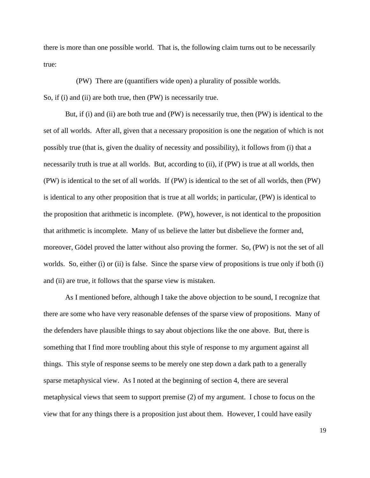there is more than one possible world. That is, the following claim turns out to be necessarily true:

(PW) There are (quantifiers wide open) a plurality of possible worlds.

So, if (i) and (ii) are both true, then (PW) is necessarily true.

But, if (i) and (ii) are both true and (PW) is necessarily true, then (PW) is identical to the set of all worlds. After all, given that a necessary proposition is one the negation of which is not possibly true (that is, given the duality of necessity and possibility), it follows from (i) that a necessarily truth is true at all worlds. But, according to (ii), if (PW) is true at all worlds, then (PW) is identical to the set of all worlds. If (PW) is identical to the set of all worlds, then (PW) is identical to any other proposition that is true at all worlds; in particular, (PW) is identical to the proposition that arithmetic is incomplete. (PW), however, is not identical to the proposition that arithmetic is incomplete. Many of us believe the latter but disbelieve the former and, moreover, Gödel proved the latter without also proving the former. So, (PW) is not the set of all worlds. So, either (i) or (ii) is false. Since the sparse view of propositions is true only if both (i) and (ii) are true, it follows that the sparse view is mistaken.

As I mentioned before, although I take the above objection to be sound, I recognize that there are some who have very reasonable defenses of the sparse view of propositions. Many of the defenders have plausible things to say about objections like the one above. But, there is something that I find more troubling about this style of response to my argument against all things. This style of response seems to be merely one step down a dark path to a generally sparse metaphysical view. As I noted at the beginning of section 4, there are several metaphysical views that seem to support premise (2) of my argument. I chose to focus on the view that for any things there is a proposition just about them. However, I could have easily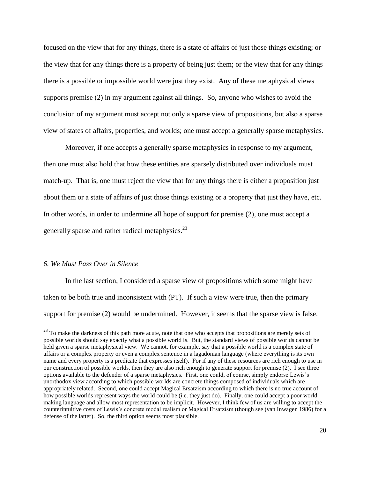focused on the view that for any things, there is a state of affairs of just those things existing; or the view that for any things there is a property of being just them; or the view that for any things there is a possible or impossible world were just they exist. Any of these metaphysical views supports premise (2) in my argument against all things. So, anyone who wishes to avoid the conclusion of my argument must accept not only a sparse view of propositions, but also a sparse view of states of affairs, properties, and worlds; one must accept a generally sparse metaphysics.

Moreover, if one accepts a generally sparse metaphysics in response to my argument, then one must also hold that how these entities are sparsely distributed over individuals must match-up. That is, one must reject the view that for any things there is either a proposition just about them or a state of affairs of just those things existing or a property that just they have, etc. In other words, in order to undermine all hope of support for premise (2), one must accept a generally sparse and rather radical metaphysics.<sup>23</sup>

### *6. We Must Pass Over in Silence*

 $\overline{a}$ 

In the last section, I considered a sparse view of propositions which some might have taken to be both true and inconsistent with (PT). If such a view were true, then the primary support for premise (2) would be undermined. However, it seems that the sparse view is false.

<sup>&</sup>lt;sup>23</sup> To make the darkness of this path more acute, note that one who accepts that propositions are merely sets of possible worlds should say exactly what a possible world is. But, the standard views of possible worlds cannot be held given a sparse metaphysical view. We cannot, for example, say that a possible world is a complex state of affairs or a complex property or even a complex sentence in a lagadonian language (where everything is its own name and every property is a predicate that expresses itself). For if any of these resources are rich enough to use in our construction of possible worlds, then they are also rich enough to generate support for premise (2). I see three options available to the defender of a sparse metaphysics. First, one could, of course, simply endorse Lewis's unorthodox view according to which possible worlds are concrete things composed of individuals which are appropriately related. Second, one could accept Magical Ersatzism according to which there is no true account of how possible worlds represent ways the world could be (i.e. they just do). Finally, one could accept a poor world making language and allow most representation to be implicit. However, I think few of us are willing to accept the counterintuitive costs of Lewis's concrete modal realism or Magical Ersatzism (though see (van Inwagen 1986) for a defense of the latter). So, the third option seems most plausible.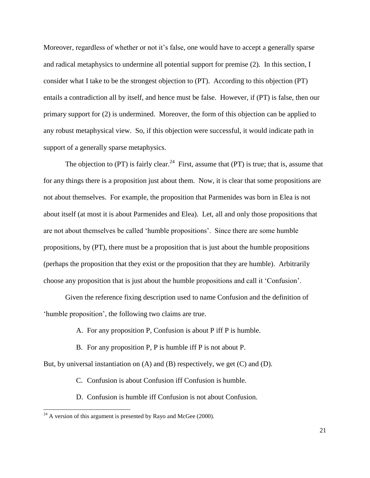Moreover, regardless of whether or not it's false, one would have to accept a generally sparse and radical metaphysics to undermine all potential support for premise (2). In this section, I consider what I take to be the strongest objection to (PT). According to this objection (PT) entails a contradiction all by itself, and hence must be false. However, if (PT) is false, then our primary support for (2) is undermined. Moreover, the form of this objection can be applied to any robust metaphysical view. So, if this objection were successful, it would indicate path in support of a generally sparse metaphysics.

The objection to (PT) is fairly clear.<sup>24</sup> First, assume that (PT) is true; that is, assume that for any things there is a proposition just about them. Now, it is clear that some propositions are not about themselves. For example, the proposition that Parmenides was born in Elea is not about itself (at most it is about Parmenides and Elea). Let, all and only those propositions that are not about themselves be called 'humble propositions'. Since there are some humble propositions, by (PT), there must be a proposition that is just about the humble propositions (perhaps the proposition that they exist or the proposition that they are humble). Arbitrarily choose any proposition that is just about the humble propositions and call it 'Confusion'.

Given the reference fixing description used to name Confusion and the definition of 'humble proposition', the following two claims are true.

- A. For any proposition P, Confusion is about P iff P is humble.
- B. For any proposition P, P is humble iff P is not about P.

But, by universal instantiation on (A) and (B) respectively, we get (C) and (D).

- C. Confusion is about Confusion iff Confusion is humble.
- D. Confusion is humble iff Confusion is not about Confusion.

 $\overline{a}$ 

 $^{24}$  A version of this argument is presented by Rayo and McGee (2000).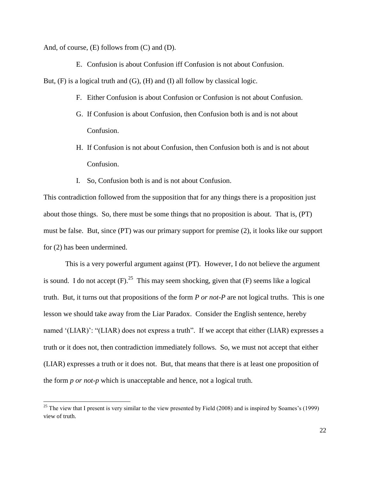And, of course, (E) follows from (C) and (D).

l

E. Confusion is about Confusion iff Confusion is not about Confusion.

But,  $(F)$  is a logical truth and  $(G)$ ,  $(H)$  and  $(I)$  all follow by classical logic.

- F. Either Confusion is about Confusion or Confusion is not about Confusion.
- G. If Confusion is about Confusion, then Confusion both is and is not about Confusion.
- H. If Confusion is not about Confusion, then Confusion both is and is not about Confusion.
- I. So, Confusion both is and is not about Confusion.

This contradiction followed from the supposition that for any things there is a proposition just about those things. So, there must be some things that no proposition is about. That is, (PT) must be false. But, since (PT) was our primary support for premise (2), it looks like our support for (2) has been undermined.

This is a very powerful argument against (PT). However, I do not believe the argument is sound. I do not accept  $(F)$ .<sup>25</sup> This may seem shocking, given that  $(F)$  seems like a logical truth. But, it turns out that propositions of the form *P or not-P* are not logical truths. This is one lesson we should take away from the Liar Paradox. Consider the English sentence, hereby named '(LIAR)': "(LIAR) does not express a truth". If we accept that either (LIAR) expresses a truth or it does not, then contradiction immediately follows. So, we must not accept that either (LIAR) expresses a truth or it does not. But, that means that there is at least one proposition of the form *p or not-p* which is unacceptable and hence, not a logical truth.

<sup>&</sup>lt;sup>25</sup> The view that I present is very similar to the view presented by Field (2008) and is inspired by Soames's (1999) view of truth.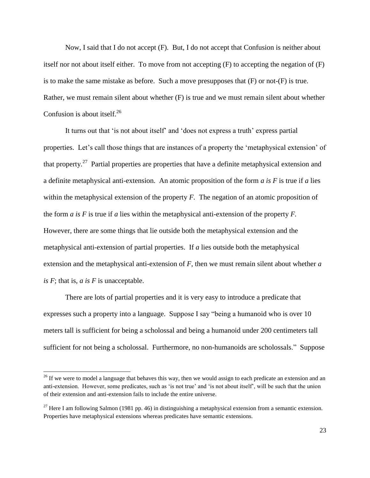Now, I said that I do not accept (F). But, I do not accept that Confusion is neither about itself nor not about itself either. To move from not accepting (F) to accepting the negation of (F) is to make the same mistake as before. Such a move presupposes that (F) or not-(F) is true. Rather, we must remain silent about whether (F) is true and we must remain silent about whether Confusion is about itself.<sup>26</sup>

It turns out that 'is not about itself' and 'does not express a truth' express partial properties. Let's call those things that are instances of a property the 'metaphysical extension' of that property.<sup>27</sup> Partial properties are properties that have a definite metaphysical extension and a definite metaphysical anti-extension. An atomic proposition of the form *a is F* is true if *a* lies within the metaphysical extension of the property *F*. The negation of an atomic proposition of the form *a is F* is true if *a* lies within the metaphysical anti-extension of the property *F.* However, there are some things that lie outside both the metaphysical extension and the metaphysical anti-extension of partial properties. If *a* lies outside both the metaphysical extension and the metaphysical anti-extension of *F*, then we must remain silent about whether *a is F*; that is, *a is F* is unacceptable.

There are lots of partial properties and it is very easy to introduce a predicate that expresses such a property into a language. Suppose I say "being a humanoid who is over 10 meters tall is sufficient for being a scholossal and being a humanoid under 200 centimeters tall sufficient for not being a scholossal. Furthermore, no non-humanoids are scholossals." Suppose

<sup>&</sup>lt;sup>26</sup> If we were to model a language that behaves this way, then we would assign to each predicate an extension and an anti-extension. However, some predicates, such as 'is not true' and 'is not about itself', will be such that the union of their extension and anti-extension fails to include the entire universe.

<sup>&</sup>lt;sup>27</sup> Here I am following Salmon (1981 pp. 46) in distinguishing a metaphysical extension from a semantic extension. Properties have metaphysical extensions whereas predicates have semantic extensions.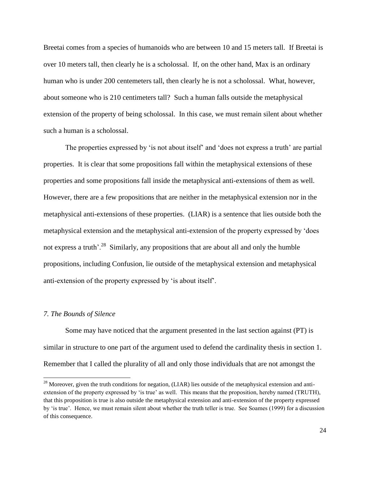Breetai comes from a species of humanoids who are between 10 and 15 meters tall. If Breetai is over 10 meters tall, then clearly he is a scholossal. If, on the other hand, Max is an ordinary human who is under 200 centemeters tall, then clearly he is not a scholossal. What, however, about someone who is 210 centimeters tall? Such a human falls outside the metaphysical extension of the property of being scholossal. In this case, we must remain silent about whether such a human is a scholossal.

The properties expressed by 'is not about itself' and 'does not express a truth' are partial properties. It is clear that some propositions fall within the metaphysical extensions of these properties and some propositions fall inside the metaphysical anti-extensions of them as well. However, there are a few propositions that are neither in the metaphysical extension nor in the metaphysical anti-extensions of these properties. (LIAR) is a sentence that lies outside both the metaphysical extension and the metaphysical anti-extension of the property expressed by 'does not express a truth'.<sup>28</sup> Similarly, any propositions that are about all and only the humble propositions, including Confusion, lie outside of the metaphysical extension and metaphysical anti-extension of the property expressed by 'is about itself'.

#### *7. The Bounds of Silence*

 $\overline{a}$ 

Some may have noticed that the argument presented in the last section against (PT) is similar in structure to one part of the argument used to defend the cardinality thesis in section 1. Remember that I called the plurality of all and only those individuals that are not amongst the

 $^{28}$  Moreover, given the truth conditions for negation, (LIAR) lies outside of the metaphysical extension and antiextension of the property expressed by 'is true' as well. This means that the proposition, hereby named (TRUTH), that this proposition is true is also outside the metaphysical extension and anti-extension of the property expressed by 'is true'. Hence, we must remain silent about whether the truth teller is true. See Soames (1999) for a discussion of this consequence.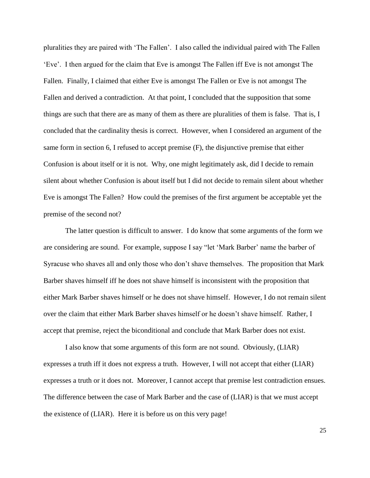pluralities they are paired with 'The Fallen'. I also called the individual paired with The Fallen 'Eve'. I then argued for the claim that Eve is amongst The Fallen iff Eve is not amongst The Fallen. Finally, I claimed that either Eve is amongst The Fallen or Eve is not amongst The Fallen and derived a contradiction. At that point, I concluded that the supposition that some things are such that there are as many of them as there are pluralities of them is false. That is, I concluded that the cardinality thesis is correct. However, when I considered an argument of the same form in section 6, I refused to accept premise (F), the disjunctive premise that either Confusion is about itself or it is not. Why, one might legitimately ask, did I decide to remain silent about whether Confusion is about itself but I did not decide to remain silent about whether Eve is amongst The Fallen? How could the premises of the first argument be acceptable yet the premise of the second not?

The latter question is difficult to answer. I do know that some arguments of the form we are considering are sound. For example, suppose I say "let 'Mark Barber' name the barber of Syracuse who shaves all and only those who don't shave themselves. The proposition that Mark Barber shaves himself iff he does not shave himself is inconsistent with the proposition that either Mark Barber shaves himself or he does not shave himself. However, I do not remain silent over the claim that either Mark Barber shaves himself or he doesn't shave himself. Rather, I accept that premise, reject the biconditional and conclude that Mark Barber does not exist.

I also know that some arguments of this form are not sound. Obviously, (LIAR) expresses a truth iff it does not express a truth. However, I will not accept that either (LIAR) expresses a truth or it does not. Moreover, I cannot accept that premise lest contradiction ensues. The difference between the case of Mark Barber and the case of (LIAR) is that we must accept the existence of (LIAR). Here it is before us on this very page!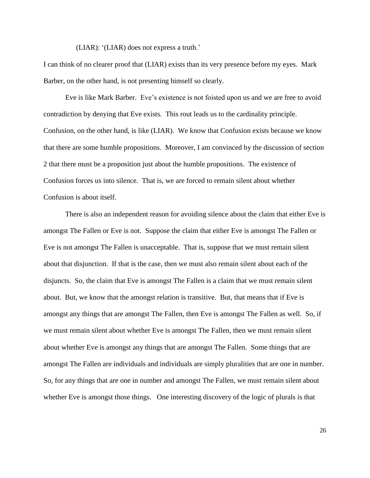(LIAR): '(LIAR) does not express a truth.'

I can think of no clearer proof that (LIAR) exists than its very presence before my eyes. Mark Barber, on the other hand, is not presenting himself so clearly.

Eve is like Mark Barber. Eve's existence is not foisted upon us and we are free to avoid contradiction by denying that Eve exists. This rout leads us to the cardinality principle. Confusion, on the other hand, is like (LIAR). We know that Confusion exists because we know that there are some humble propositions. Moreover, I am convinced by the discussion of section 2 that there must be a proposition just about the humble propositions. The existence of Confusion forces us into silence. That is, we are forced to remain silent about whether Confusion is about itself.

There is also an independent reason for avoiding silence about the claim that either Eve is amongst The Fallen or Eve is not. Suppose the claim that either Eve is amongst The Fallen or Eve is not amongst The Fallen is unacceptable. That is, suppose that we must remain silent about that disjunction. If that is the case, then we must also remain silent about each of the disjuncts. So, the claim that Eve is amongst The Fallen is a claim that we must remain silent about. But, we know that the amongst relation is transitive. But, that means that if Eve is amongst any things that are amongst The Fallen, then Eve is amongst The Fallen as well. So, if we must remain silent about whether Eve is amongst The Fallen, then we must remain silent about whether Eve is amongst any things that are amongst The Fallen. Some things that are amongst The Fallen are individuals and individuals are simply pluralities that are one in number. So, for any things that are one in number and amongst The Fallen, we must remain silent about whether Eve is amongst those things. One interesting discovery of the logic of plurals is that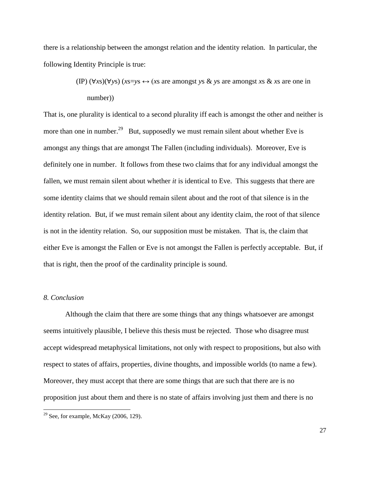there is a relationship between the amongst relation and the identity relation. In particular, the following Identity Principle is true:

> (IP) (∀*x*s)(∀*y*s) (*x*s=*y*s ↔ (*x*s are amongst *y*s & *y*s are amongst *x*s & *x*s are one in number))

That is, one plurality is identical to a second plurality iff each is amongst the other and neither is more than one in number.<sup>29</sup> But, supposedly we must remain silent about whether Eve is amongst any things that are amongst The Fallen (including individuals). Moreover, Eve is definitely one in number. It follows from these two claims that for any individual amongst the fallen, we must remain silent about whether *it* is identical to Eve. This suggests that there are some identity claims that we should remain silent about and the root of that silence is in the identity relation. But, if we must remain silent about any identity claim, the root of that silence is not in the identity relation. So, our supposition must be mistaken. That is, the claim that either Eve is amongst the Fallen or Eve is not amongst the Fallen is perfectly acceptable. But, if that is right, then the proof of the cardinality principle is sound.

## *8. Conclusion*

 $\overline{a}$ 

Although the claim that there are some things that any things whatsoever are amongst seems intuitively plausible, I believe this thesis must be rejected. Those who disagree must accept widespread metaphysical limitations, not only with respect to propositions, but also with respect to states of affairs, properties, divine thoughts, and impossible worlds (to name a few). Moreover, they must accept that there are some things that are such that there are is no proposition just about them and there is no state of affairs involving just them and there is no

 $29$  See, for example, McKay (2006, 129).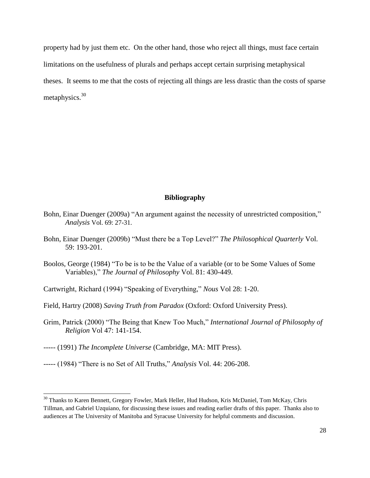property had by just them etc. On the other hand, those who reject all things, must face certain limitations on the usefulness of plurals and perhaps accept certain surprising metaphysical theses. It seems to me that the costs of rejecting all things are less drastic than the costs of sparse metaphysics.<sup>30</sup>

## **Bibliography**

- Bohn, Einar Duenger (2009a) "An argument against the necessity of unrestricted composition," *Analysis* Vol. 69: 27-31.
- Bohn, Einar Duenger (2009b) "Must there be a Top Level?" *The Philosophical Quarterly* Vol. 59: 193-201.
- Boolos, George (1984) "To be is to be the Value of a variable (or to be Some Values of Some Variables)," *The Journal of Philosophy* Vol. 81: 430-449.
- Cartwright, Richard (1994) "Speaking of Everything," *Nous* Vol 28: 1-20.
- Field, Hartry (2008) *Saving Truth from Paradox* (Oxford: Oxford University Press).
- Grim, Patrick (2000) "The Being that Knew Too Much," *International Journal of Philosophy of Religion* Vol 47: 141-154.
- ----- (1991) *The Incomplete Universe* (Cambridge, MA: MIT Press).

l

----- (1984) "There is no Set of All Truths," *Analysis* Vol. 44: 206-208.

<sup>&</sup>lt;sup>30</sup> Thanks to Karen Bennett, Gregory Fowler, Mark Heller, Hud Hudson, Kris McDaniel, Tom McKay, Chris Tillman, and Gabriel Uzquiano, for discussing these issues and reading earlier drafts of this paper. Thanks also to audiences at The University of Manitoba and Syracuse University for helpful comments and discussion.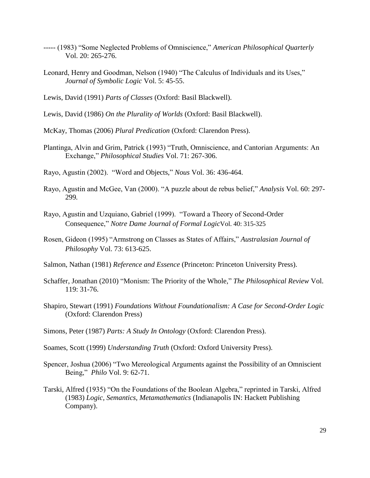- ----- (1983) "Some Neglected Problems of Omniscience," *American Philosophical Quarterly* Vol. 20: 265-276.
- Leonard, Henry and Goodman, Nelson (1940) "The Calculus of Individuals and its Uses," *Journal of Symbolic Logic* Vol. 5: 45-55.
- Lewis, David (1991) *Parts of Classes* (Oxford: Basil Blackwell).

Lewis, David (1986) *On the Plurality of Worlds* (Oxford: Basil Blackwell).

McKay, Thomas (2006) *Plural Predication* (Oxford: Clarendon Press).

Plantinga, Alvin and Grim, Patrick (1993) "Truth, Omniscience, and Cantorian Arguments: An Exchange," *Philosophical Studies* Vol. 71: 267-306.

Rayo, Agustin (2002). "Word and Objects," *Nous* Vol. 36: 436-464.

- Rayo, Agustin and McGee, Van (2000). "A puzzle about de rebus belief," *Analysis* Vol. 60: 297- 299*.*
- Rayo, Agustin and Uzquiano, Gabriel (1999). "Toward a Theory of Second-Order Consequence," *Notre Dame Journal of Formal Logic*Vol. 40: 315-325
- Rosen, Gideon (1995) "Armstrong on Classes as States of Affairs," *Australasian Journal of Philosophy* Vol. 73: 613-625.
- Salmon, Nathan (1981) *Reference and Essence* (Princeton: Princeton University Press).
- Schaffer, Jonathan (2010) "Monism: The Priority of the Whole," *The Philosophical Review* Vol. 119: 31-76.
- Shapiro, Stewart (1991) *Foundations Without Foundationalism: A Case for Second-Order Logic* (Oxford: Clarendon Press)
- Simons, Peter (1987) *Parts: A Study In Ontology* (Oxford: Clarendon Press).
- Soames, Scott (1999) *Understanding Truth* (Oxford: Oxford University Press).
- Spencer, Joshua (2006) "Two Mereological Arguments against the Possibility of an Omniscient Being," *Philo* Vol. 9: 62-71.
- Tarski, Alfred (1935) "On the Foundations of the Boolean Algebra," reprinted in Tarski, Alfred (1983) *Logic, Semantics, Metamathematics* (Indianapolis IN: Hackett Publishing Company).